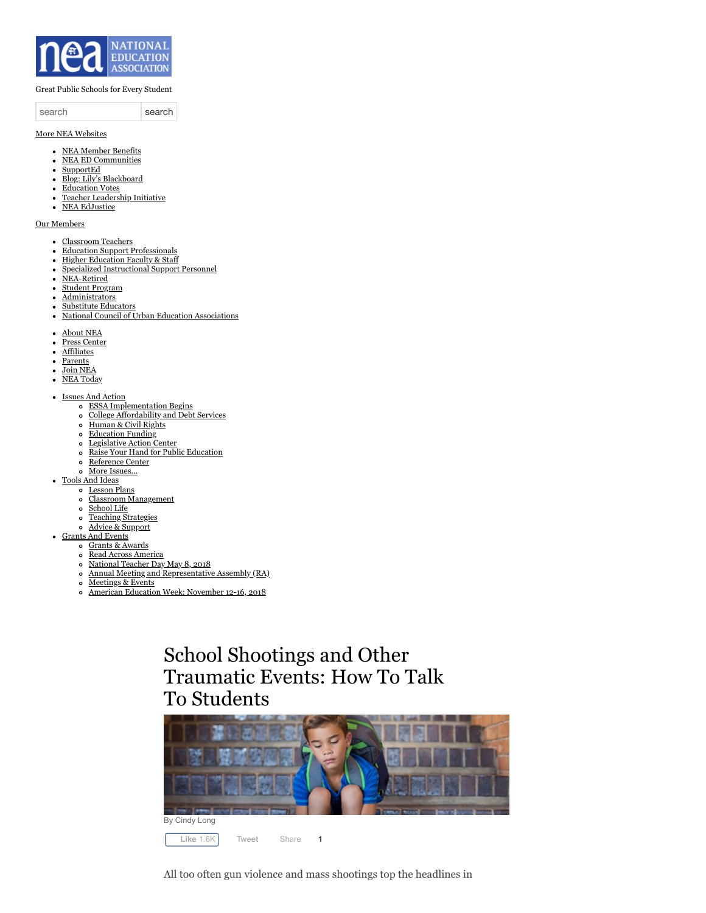

## Great Public Schools for Every Student

search search

## More NEA Websites

- [NEA Member Benefits](http://www.neamb.com/)
- [NEA ED Communities](http://www.mynea360.org/?utm_source=nea_org&utm_medium=web&utm_campaign=NEAlinkshare)
- [SupportEd](http://supported.nea.org/)
- [Blog: Lily's Blackboard](http://www.lilysblackboard.org/) • [Education Votes](http://www.educationvotes.nea.org/)
- [Teacher Leadership Initiative](http://www.teacherleadershipinitiative.org/)  $\bullet$
- [NEA EdJustice](http://educationvotes.nea.org/neaedjustice/)

Our Members

- [Classroom Teachers](http://www.nea.org/home/64749.htm)
- [Education Support Professionals](http://www.nea.org/home/1604.htm)
- [Higher Education Faculty & Staff](http://www.nea.org/home/1602.htm)
- [Specialized Instructional Support Personnel](http://www.nea.org/home/sisp.html)
- [NEA-Retired](http://www.nea.org/home/1598.htm)
- $\bullet$ [Student Program](http://www.nea.org/home/1600.htm)
- [Administrators](http://www.nea.org/home/1608.htm)
- [Substitute Educators](http://www.nea.org/home/1606.htm)  $\bullet$
- [National Council of Urban Education Associations](http://www.nea.org/home/66472.htm)
- $\Delta$  [About NEA](http://www.nea.org/home/2580.htm)
- [Press Center](http://www.nea.org/home/1709.htm)
- [Affiliates](http://www.nea.org/home/49809.htm)
- [Parents](http://www.nea.org/home/ParentPartnershipResources.html)
- [Join NEA](https://www.nea.org/JoinNea)
- $\bullet$ [NEA Today](http://www.nea.org/neatoday)
- [Issues And Action](http://www.nea.org/home/IssuesAndAction.html)
	- [ESSA Implementation Begins](http://www.nea.org/home/65276.htm)
	- [College Affordability and Debt Services](http://www.nea.org/home/degreesnotdebt.html)
	- o [Human & Civil Rights](http://www.nea.org/home/64654.htm)
	- [Education Funding](http://www.nea.org/home/1019.htm)
	- [Legislative Action Center](http://www.nea.org/home/LegislativeActionCenter.html)
	- [Raise Your Hand for Public Education](http://www.nea.org/home/raiseyourhand.html)
	- [Reference Center](http://www.nea.org/home/32073.htm)
	- o [More Issues...](http://www.nea.org/home/18526.htm)
- [Tools And Ideas](http://www.nea.org/home/ToolsAndIdeas.html)
	- [Lesson Plans](http://www.nea.org/tools/LessonPlans.html)
		- [Classroom Management](http://www.nea.org/tools/ClassroomManagement.html)
		- o [School Life](http://www.nea.org/tools/SchoolLife.html)
		- [Teaching Strategies](http://www.nea.org/tools/TeachingStrategies.html)
		- [Advice & Support](http://www.nea.org/tools/AdviceAndSupport.html)
- [Grants And Events](http://www.nea.org/home/GrantsAndEvents.html)
	- [Grants & Awards](http://www.nea.org/grants/grantsawardsandmore.html)
	- [Read Across America](http://www.nea.org/grants/886.htm)
	- o [National Teacher Day May 8, 2018](http://www.nea.org/grants/teacherday.html)
	- [Annual Meeting and Representative Assembly \(RA\)](http://www.nea.org/grants/1357.htm)
	- o [Meetings & Events](http://www.nea.org/grants/19458.htm)
	- [American Education Week: November 12-16, 2018](http://www.nea.org/grants/19823.htm)

## School Shootings and Other Traumatic Events: How To Talk To Students



All too often gun violence and mass shootings top the headlines in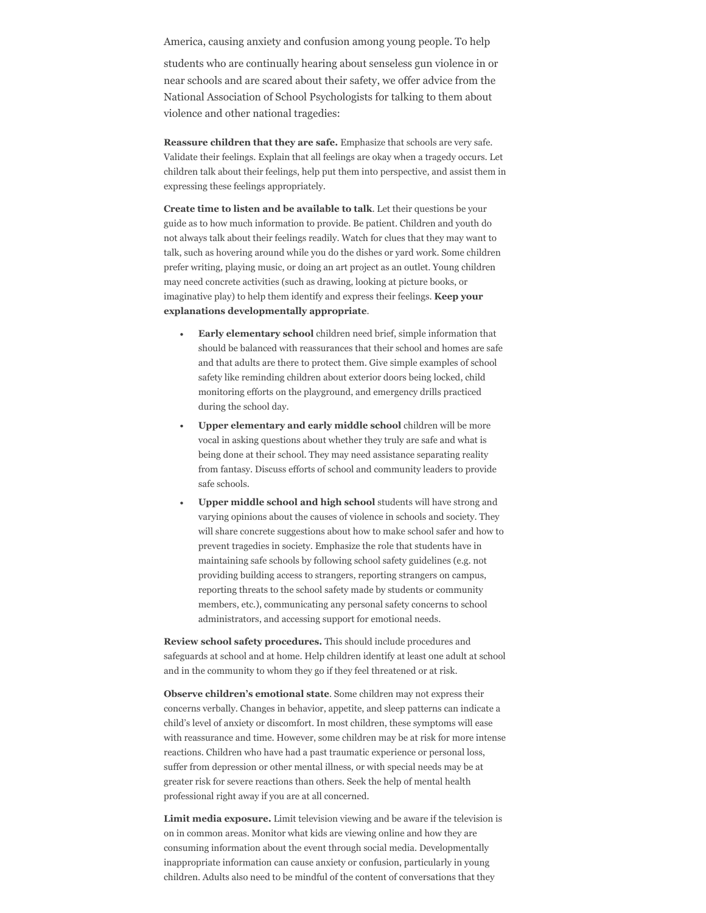America, causing anxiety and confusion among young people. To help

students who are continually hearing about senseless gun violence in or near schools and are scared about their safety, we offer advice from the National Association of School Psychologists for talking to them about violence and other national tragedies:

**Reassure children that they are safe.** Emphasize that schools are very safe. Validate their feelings. Explain that all feelings are okay when a tragedy occurs. Let children talk about their feelings, help put them into perspective, and assist them in expressing these feelings appropriately.

**Create time to listen and be available to talk**. Let their questions be your guide as to how much information to provide. Be patient. Children and youth do not always talk about their feelings readily. Watch for clues that they may want to talk, such as hovering around while you do the dishes or yard work. Some children prefer writing, playing music, or doing an art project as an outlet. Young children may need concrete activities (such as drawing, looking at picture books, or imaginative play) to help them identify and express their feelings. **Keep your explanations developmentally appropriate**.

- **Early elementary school** children need brief, simple information that should be balanced with reassurances that their school and homes are safe and that adults are there to protect them. Give simple examples of school safety like reminding children about exterior doors being locked, child monitoring efforts on the playground, and emergency drills practiced during the school day.
- **Upper elementary and early middle school** children will be more vocal in asking questions about whether they truly are safe and what is being done at their school. They may need assistance separating reality from fantasy. Discuss efforts of school and community leaders to provide safe schools.
- **Upper middle school and high school** students will have strong and varying opinions about the causes of violence in schools and society. They will share concrete suggestions about how to make school safer and how to prevent tragedies in society. Emphasize the role that students have in maintaining safe schools by following school safety guidelines (e.g. not providing building access to strangers, reporting strangers on campus, reporting threats to the school safety made by students or community members, etc.), communicating any personal safety concerns to school administrators, and accessing support for emotional needs.

**Review school safety procedures.** This should include procedures and safeguards at school and at home. Help children identify at least one adult at school and in the community to whom they go if they feel threatened or at risk.

**Observe children's emotional state**. Some children may not express their concerns verbally. Changes in behavior, appetite, and sleep patterns can indicate a child's level of anxiety or discomfort. In most children, these symptoms will ease with reassurance and time. However, some children may be at risk for more intense reactions. Children who have had a past traumatic experience or personal loss, suffer from depression or other mental illness, or with special needs may be at greater risk for severe reactions than others. Seek the help of mental health professional right away if you are at all concerned.

**Limit media exposure.** Limit television viewing and be aware if the television is on in common areas. Monitor what kids are viewing online and how they are consuming information about the event through social media. Developmentally inappropriate information can cause anxiety or confusion, particularly in young children. Adults also need to be mindful of the content of conversations that they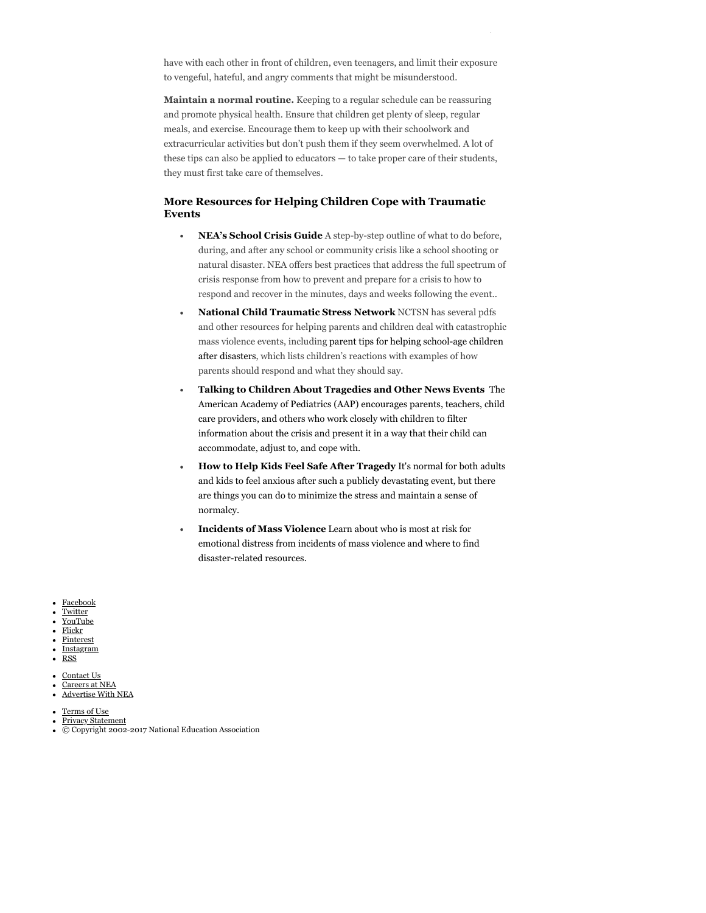have with each other in front of children, even teenagers, and limit their exposure to vengeful, hateful, and angry comments that might be misunderstood.

y

**Maintain a normal routine.** Keeping to a regular schedule can be reassuring and promote physical health. Ensure that children get plenty of sleep, regular meals, and exercise. Encourage them to keep up with their schoolwork and extracurricular activities but don't push them if they seem overwhelmed. A lot of these tips can also be applied to educators — to take proper care of their students, they must first take care of themselves.

## **More Resources for Helping Children Cope with Traumatic Events**

- **[NEA's School Crisis Guide](http://www.nea.org/assets/docs/NEA%20School%20Crisis%20Guide%202018.pdf)** A step-by-step outline of what to do before, during, and after any school or community crisis like a school shooting or natural disaster. NEA offers best practices that address the full spectrum of crisis response from how to prevent and prepare for a crisis to how to respond and recover in the minutes, days and weeks following the event..
- **[National Child Traumatic Stress Network](http://www.nctsn.org/trauma-types/terrorism)** NCTSN has several pdfs and other resources for helping parents and children deal with catastrophic [mass violence events, including parent tips for helping school-age children](http://www.nctsn.org/sites/default/files/assets/pdfs/appendix_tips_for_parents_with_schoolage_children.pdf) after disasters, which lists children's reactions with examples of how parents should respond and what they should say.
- **[Talking to Children About Tragedies and Other News Events](https://www.healthychildren.org/English/family-life/Media/Pages/Talking-To-Children-About-Tragedies-and-Other-News-Events.aspx)**  The American Academy of Pediatrics (AAP) encourages parents, teachers, child care providers, and others who work closely with children to filter information about the crisis and present it in a way that their child can accommodate, adjust to, and cope with.
- **[How to Help Kids Feel Safe After Tragedy](http://www.pbs.org/parents/talkingwithkids/news/help-kids-feel-safe.html)** It's normal for both adults and kids to feel anxious after such a publicly devastating event, but there are things you can do to minimize the stress and maintain a sense of normalcy.
- **[Incidents of Mass Violence](https://www.samhsa.gov/find-help/disaster-distress-helpline/disaster-types/mass-violence)** Learn about who is most at risk for emotional distress from incidents of mass violence and where to find disaster-related resources.
- [Facebook](http://www.nea.org/home/39653.htm#facebook)
- **[Twitter](http://www.nea.org/home/39653.htm#twitter)**
- [YouTube](http://www.nea.org/home/39653.htm#youtube)
- [Flickr](http://www.flickr.com/photos/neapr) [Pinterest](http://www.pinterest.com/neatoday/)
- **[Instagram](http://www.instagram.com/neatoday/)**
- [RSS](http://www.nea.org/home/rssfeeds.htm)
- 

[Contact Us](http://www.nea.org/home/827.htm)

- [Careers at NEA](http://www.nea.org/home/825.htm) [Advertise With NEA](http://www.nea.org/home/823.htm)
- 
- [Terms of Use](http://www.nea.org/home/821.htm)
- [Privacy Statement](http://www.nea.org/home/829.htm) © Copyright 2002-2017 National Education Association